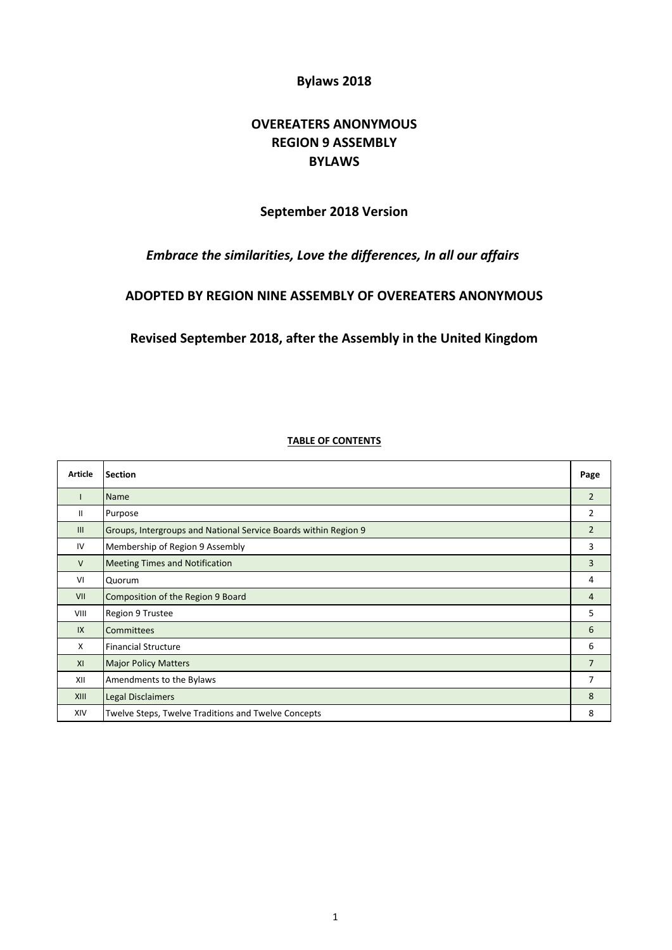#### **Bylaws 2018**

# **OVEREATERS ANONYMOUS REGION 9 ASSEMBLY BYLAWS**

## **September 2018 Version**

# *Embrace the similarities, Love the differences, In all our affairs*

#### **ADOPTED BY REGION NINE ASSEMBLY OF OVEREATERS ANONYMOUS**

### **Revised September 2018, after the Assembly in the United Kingdom**

# **Article Section Page**

#### **TABLE OF CONTENTS**

|              | Name                                                            | $\overline{2}$ |
|--------------|-----------------------------------------------------------------|----------------|
| $\mathbf{H}$ | Purpose                                                         |                |
| III          | Groups, Intergroups and National Service Boards within Region 9 |                |
| IV           | Membership of Region 9 Assembly                                 | 3              |
| $\vee$       | <b>Meeting Times and Notification</b>                           | 3              |
| VI           | Quorum                                                          | 4              |
| VII          | Composition of the Region 9 Board                               | 4              |
| VIII         | Region 9 Trustee                                                | 5              |
| IX           | <b>Committees</b>                                               | 6              |
| X            | <b>Financial Structure</b>                                      | 6              |
| XI           | <b>Major Policy Matters</b>                                     |                |
| XII          | Amendments to the Bylaws                                        |                |
| XIII         | Legal Disclaimers                                               | 8              |
| XIV          | Twelve Steps, Twelve Traditions and Twelve Concepts             | 8              |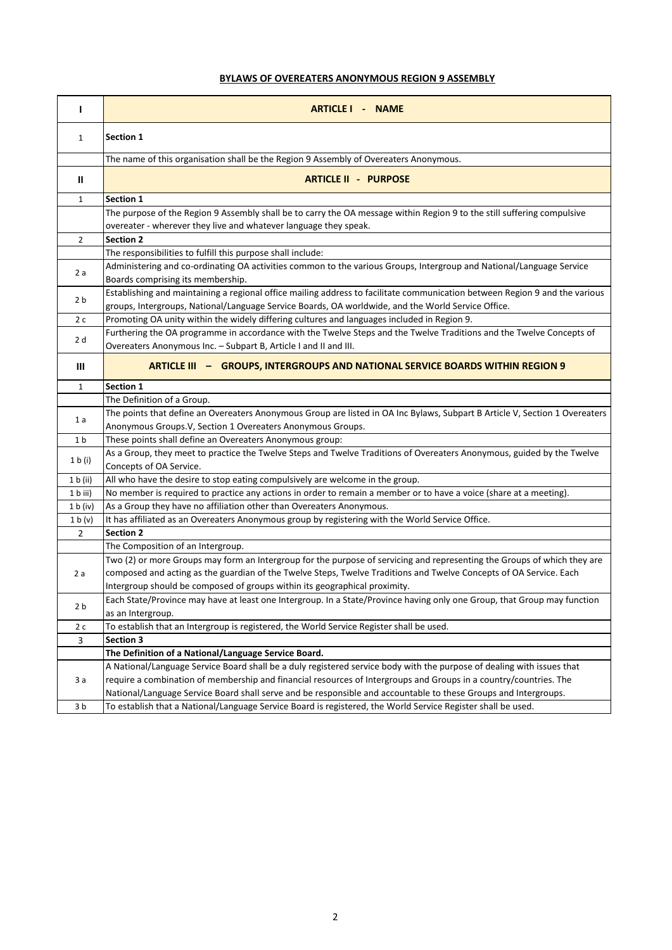#### **BYLAWS OF OVEREATERS ANONYMOUS REGION 9 ASSEMBLY**

| ı              | <b>ARTICLE I - NAME</b>                                                                                                                                   |
|----------------|-----------------------------------------------------------------------------------------------------------------------------------------------------------|
| $\mathbf{1}$   | Section 1                                                                                                                                                 |
|                | The name of this organisation shall be the Region 9 Assembly of Overeaters Anonymous.                                                                     |
| Ш              | <b>ARTICLE II - PURPOSE</b>                                                                                                                               |
| $\mathbf{1}$   | Section 1                                                                                                                                                 |
|                | The purpose of the Region 9 Assembly shall be to carry the OA message within Region 9 to the still suffering compulsive                                   |
|                | overeater - wherever they live and whatever language they speak.                                                                                          |
| $\overline{2}$ | <b>Section 2</b>                                                                                                                                          |
|                | The responsibilities to fulfill this purpose shall include:                                                                                               |
| 2a             | Administering and co-ordinating OA activities common to the various Groups, Intergroup and National/Language Service<br>Boards comprising its membership. |
|                | Establishing and maintaining a regional office mailing address to facilitate communication between Region 9 and the various                               |
| 2 b            | groups, Intergroups, National/Language Service Boards, OA worldwide, and the World Service Office.                                                        |
| 2c             | Promoting OA unity within the widely differing cultures and languages included in Region 9.                                                               |
| 2 d            | Furthering the OA programme in accordance with the Twelve Steps and the Twelve Traditions and the Twelve Concepts of                                      |
|                | Overeaters Anonymous Inc. - Subpart B, Article I and II and III.                                                                                          |
| Ш              | <b>ARTICLE III - GROUPS, INTERGROUPS AND NATIONAL SERVICE BOARDS WITHIN REGION 9</b>                                                                      |
| 1              | <b>Section 1</b>                                                                                                                                          |
|                | The Definition of a Group.                                                                                                                                |
| 1 a            | The points that define an Overeaters Anonymous Group are listed in OA Inc Bylaws, Subpart B Article V, Section 1 Overeaters                               |
|                | Anonymous Groups.V, Section 1 Overeaters Anonymous Groups.                                                                                                |
| 1 b            | These points shall define an Overeaters Anonymous group:                                                                                                  |
| 1 b (i)        | As a Group, they meet to practice the Twelve Steps and Twelve Traditions of Overeaters Anonymous, guided by the Twelve                                    |
|                | Concepts of OA Service.                                                                                                                                   |
| 1 b (ii)       | All who have the desire to stop eating compulsively are welcome in the group.                                                                             |
| 1 b iii)       | No member is required to practice any actions in order to remain a member or to have a voice (share at a meeting).                                        |
| 1 b (iv)       | As a Group they have no affiliation other than Overeaters Anonymous.                                                                                      |
| 1 b (v)        | It has affiliated as an Overeaters Anonymous group by registering with the World Service Office.                                                          |
| $\overline{2}$ | <b>Section 2</b><br>The Composition of an Intergroup.                                                                                                     |
|                | Two (2) or more Groups may form an Intergroup for the purpose of servicing and representing the Groups of which they are                                  |
| 2a             | composed and acting as the guardian of the Twelve Steps, Twelve Traditions and Twelve Concepts of OA Service. Each                                        |
|                | Intergroup should be composed of groups within its geographical proximity.                                                                                |
|                | Each State/Province may have at least one Intergroup. In a State/Province having only one Group, that Group may function                                  |
| 2 <sub>b</sub> | as an Intergroup.                                                                                                                                         |
| 2c             | To establish that an Intergroup is registered, the World Service Register shall be used.                                                                  |
| 3              | <b>Section 3</b>                                                                                                                                          |
|                | The Definition of a National/Language Service Board.                                                                                                      |
|                | A National/Language Service Board shall be a duly registered service body with the purpose of dealing with issues that                                    |
| 3a             | require a combination of membership and financial resources of Intergroups and Groups in a country/countries. The                                         |
|                | National/Language Service Board shall serve and be responsible and accountable to these Groups and Intergroups.                                           |
| 3b             | To establish that a National/Language Service Board is registered, the World Service Register shall be used.                                              |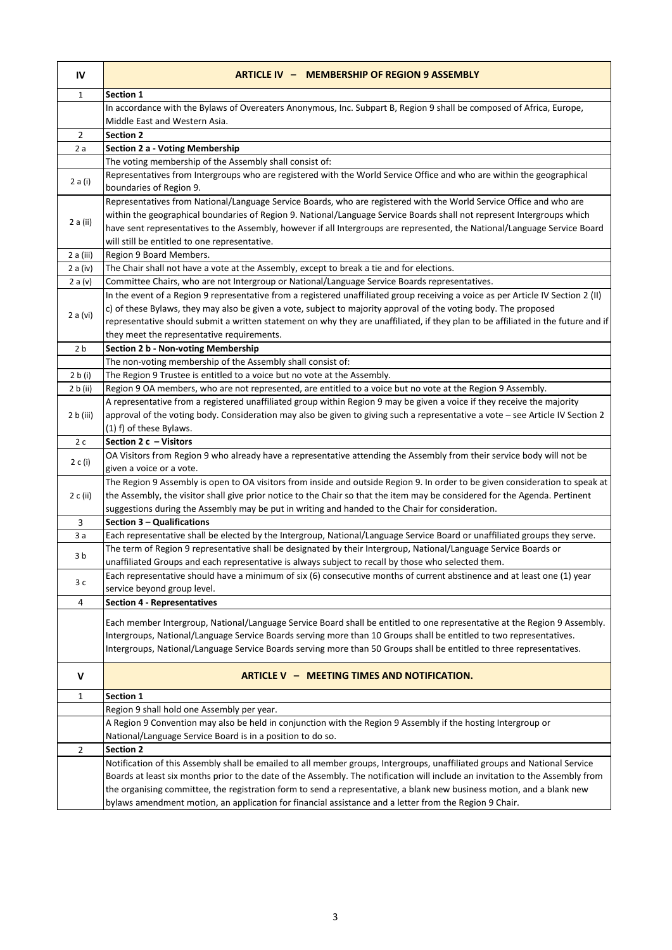| IV             | ARTICLE IV - MEMBERSHIP OF REGION 9 ASSEMBLY                                                                                      |
|----------------|-----------------------------------------------------------------------------------------------------------------------------------|
| $\mathbf{1}$   | Section 1                                                                                                                         |
|                | In accordance with the Bylaws of Overeaters Anonymous, Inc. Subpart B, Region 9 shall be composed of Africa, Europe,              |
|                | Middle East and Western Asia.                                                                                                     |
| $\overline{2}$ | <b>Section 2</b>                                                                                                                  |
| 2a             | <b>Section 2 a - Voting Membership</b>                                                                                            |
|                | The voting membership of the Assembly shall consist of:                                                                           |
|                | Representatives from Intergroups who are registered with the World Service Office and who are within the geographical             |
| 2 a (i)        | boundaries of Region 9.                                                                                                           |
|                | Representatives from National/Language Service Boards, who are registered with the World Service Office and who are               |
|                | within the geographical boundaries of Region 9. National/Language Service Boards shall not represent Intergroups which            |
| 2 a (ii)       | have sent representatives to the Assembly, however if all Intergroups are represented, the National/Language Service Board        |
|                | will still be entitled to one representative.                                                                                     |
| 2a (iii)       | Region 9 Board Members.                                                                                                           |
| 2 a (iv)       | The Chair shall not have a vote at the Assembly, except to break a tie and for elections.                                         |
| 2a(v)          | Committee Chairs, who are not Intergroup or National/Language Service Boards representatives.                                     |
|                | In the event of a Region 9 representative from a registered unaffiliated group receiving a voice as per Article IV Section 2 (II) |
|                | c) of these Bylaws, they may also be given a vote, subject to majority approval of the voting body. The proposed                  |
| 2 a (vi)       | representative should submit a written statement on why they are unaffiliated, if they plan to be affiliated in the future and if |
|                | they meet the representative requirements.                                                                                        |
| 2 b            | Section 2 b - Non-voting Membership                                                                                               |
|                | The non-voting membership of the Assembly shall consist of:                                                                       |
| 2 b (i)        | The Region 9 Trustee is entitled to a voice but no vote at the Assembly.                                                          |
| 2 b (ii)       | Region 9 OA members, who are not represented, are entitled to a voice but no vote at the Region 9 Assembly.                       |
|                | A representative from a registered unaffiliated group within Region 9 may be given a voice if they receive the majority           |
| 2 b (iii)      | approval of the voting body. Consideration may also be given to giving such a representative a vote - see Article IV Section 2    |
|                | (1) f) of these Bylaws.                                                                                                           |
| 2c             | Section 2 $c - V$ isitors                                                                                                         |
| 2 c (i)        | OA Visitors from Region 9 who already have a representative attending the Assembly from their service body will not be            |
|                | given a voice or a vote.                                                                                                          |
|                | The Region 9 Assembly is open to OA visitors from inside and outside Region 9. In order to be given consideration to speak at     |
| 2 c (ii)       | the Assembly, the visitor shall give prior notice to the Chair so that the item may be considered for the Agenda. Pertinent       |
|                | suggestions during the Assembly may be put in writing and handed to the Chair for consideration.                                  |
| 3              | Section 3 - Qualifications                                                                                                        |
| 3 a            | Each representative shall be elected by the Intergroup, National/Language Service Board or unaffiliated groups they serve.        |
| 3b             | The term of Region 9 representative shall be designated by their Intergroup, National/Language Service Boards or                  |
|                | unaffiliated Groups and each representative is always subject to recall by those who selected them.                               |
| 3 с            | Each representative should have a minimum of six (6) consecutive months of current abstinence and at least one (1) year           |
|                | service beyond group level.                                                                                                       |
| 4              | <b>Section 4 - Representatives</b>                                                                                                |
|                | Each member Intergroup, National/Language Service Board shall be entitled to one representative at the Region 9 Assembly.         |
|                | Intergroups, National/Language Service Boards serving more than 10 Groups shall be entitled to two representatives.               |
|                | Intergroups, National/Language Service Boards serving more than 50 Groups shall be entitled to three representatives.             |
|                |                                                                                                                                   |
| $\mathbf{V}$   | ARTICLE V - MEETING TIMES AND NOTIFICATION.                                                                                       |
| 1              | Section 1                                                                                                                         |
|                | Region 9 shall hold one Assembly per year.                                                                                        |
|                | A Region 9 Convention may also be held in conjunction with the Region 9 Assembly if the hosting Intergroup or                     |
|                | National/Language Service Board is in a position to do so.                                                                        |
| $\overline{2}$ | <b>Section 2</b>                                                                                                                  |
|                | Notification of this Assembly shall be emailed to all member groups, Intergroups, unaffiliated groups and National Service        |
|                | Boards at least six months prior to the date of the Assembly. The notification will include an invitation to the Assembly from    |
|                | the organising committee, the registration form to send a representative, a blank new business motion, and a blank new            |
|                | bylaws amendment motion, an application for financial assistance and a letter from the Region 9 Chair.                            |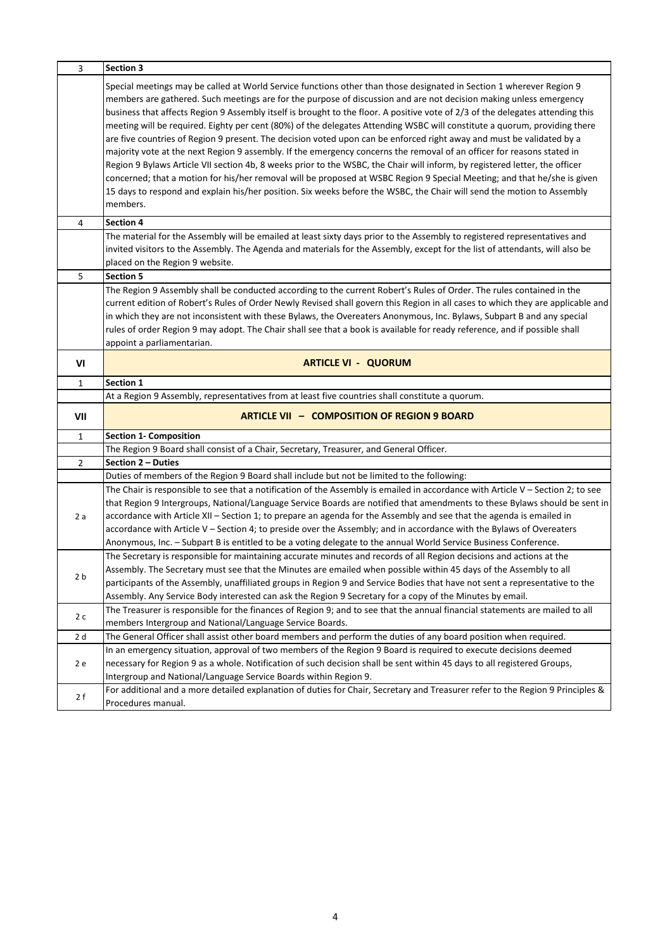| 3              | Section 3                                                                                                                                                                                                                                                                                                                                                                                                                                                                                                                                                                                                                                                                                                                                                                                                                                                                                                                                                                                                                                                                                                                                                     |
|----------------|---------------------------------------------------------------------------------------------------------------------------------------------------------------------------------------------------------------------------------------------------------------------------------------------------------------------------------------------------------------------------------------------------------------------------------------------------------------------------------------------------------------------------------------------------------------------------------------------------------------------------------------------------------------------------------------------------------------------------------------------------------------------------------------------------------------------------------------------------------------------------------------------------------------------------------------------------------------------------------------------------------------------------------------------------------------------------------------------------------------------------------------------------------------|
|                | Special meetings may be called at World Service functions other than those designated in Section 1 wherever Region 9<br>members are gathered. Such meetings are for the purpose of discussion and are not decision making unless emergency<br>business that affects Region 9 Assembly itself is brought to the floor. A positive vote of 2/3 of the delegates attending this<br>meeting will be required. Eighty per cent (80%) of the delegates Attending WSBC will constitute a quorum, providing there<br>are five countries of Region 9 present. The decision voted upon can be enforced right away and must be validated by a<br>majority vote at the next Region 9 assembly. If the emergency concerns the removal of an officer for reasons stated in<br>Region 9 Bylaws Article VII section 4b, 8 weeks prior to the WSBC, the Chair will inform, by registered letter, the officer<br>concerned; that a motion for his/her removal will be proposed at WSBC Region 9 Special Meeting; and that he/she is given<br>15 days to respond and explain his/her position. Six weeks before the WSBC, the Chair will send the motion to Assembly<br>members. |
| 4              | <b>Section 4</b>                                                                                                                                                                                                                                                                                                                                                                                                                                                                                                                                                                                                                                                                                                                                                                                                                                                                                                                                                                                                                                                                                                                                              |
|                | The material for the Assembly will be emailed at least sixty days prior to the Assembly to registered representatives and<br>invited visitors to the Assembly. The Agenda and materials for the Assembly, except for the list of attendants, will also be<br>placed on the Region 9 website.                                                                                                                                                                                                                                                                                                                                                                                                                                                                                                                                                                                                                                                                                                                                                                                                                                                                  |
| 5              | <b>Section 5</b>                                                                                                                                                                                                                                                                                                                                                                                                                                                                                                                                                                                                                                                                                                                                                                                                                                                                                                                                                                                                                                                                                                                                              |
|                | The Region 9 Assembly shall be conducted according to the current Robert's Rules of Order. The rules contained in the<br>current edition of Robert's Rules of Order Newly Revised shall govern this Region in all cases to which they are applicable and<br>in which they are not inconsistent with these Bylaws, the Overeaters Anonymous, Inc. Bylaws, Subpart B and any special<br>rules of order Region 9 may adopt. The Chair shall see that a book is available for ready reference, and if possible shall<br>appoint a parliamentarian.                                                                                                                                                                                                                                                                                                                                                                                                                                                                                                                                                                                                                |
| VI             | <b>ARTICLE VI - QUORUM</b>                                                                                                                                                                                                                                                                                                                                                                                                                                                                                                                                                                                                                                                                                                                                                                                                                                                                                                                                                                                                                                                                                                                                    |
|                |                                                                                                                                                                                                                                                                                                                                                                                                                                                                                                                                                                                                                                                                                                                                                                                                                                                                                                                                                                                                                                                                                                                                                               |
| $\mathbf{1}$   | Section 1                                                                                                                                                                                                                                                                                                                                                                                                                                                                                                                                                                                                                                                                                                                                                                                                                                                                                                                                                                                                                                                                                                                                                     |
|                | At a Region 9 Assembly, representatives from at least five countries shall constitute a quorum.                                                                                                                                                                                                                                                                                                                                                                                                                                                                                                                                                                                                                                                                                                                                                                                                                                                                                                                                                                                                                                                               |
| VII            | <b>ARTICLE VII - COMPOSITION OF REGION 9 BOARD</b>                                                                                                                                                                                                                                                                                                                                                                                                                                                                                                                                                                                                                                                                                                                                                                                                                                                                                                                                                                                                                                                                                                            |
| $\mathbf{1}$   | <b>Section 1- Composition</b>                                                                                                                                                                                                                                                                                                                                                                                                                                                                                                                                                                                                                                                                                                                                                                                                                                                                                                                                                                                                                                                                                                                                 |
|                | The Region 9 Board shall consist of a Chair, Secretary, Treasurer, and General Officer.                                                                                                                                                                                                                                                                                                                                                                                                                                                                                                                                                                                                                                                                                                                                                                                                                                                                                                                                                                                                                                                                       |
| $\overline{2}$ | Section 2 - Duties                                                                                                                                                                                                                                                                                                                                                                                                                                                                                                                                                                                                                                                                                                                                                                                                                                                                                                                                                                                                                                                                                                                                            |
|                | Duties of members of the Region 9 Board shall include but not be limited to the following:                                                                                                                                                                                                                                                                                                                                                                                                                                                                                                                                                                                                                                                                                                                                                                                                                                                                                                                                                                                                                                                                    |
|                | The Chair is responsible to see that a notification of the Assembly is emailed in accordance with Article $V -$ Section 2; to see<br>that Region 9 Intergroups, National/Language Service Boards are notified that amendments to these Bylaws should be sent in                                                                                                                                                                                                                                                                                                                                                                                                                                                                                                                                                                                                                                                                                                                                                                                                                                                                                               |
| 2a             | accordance with Article XII - Section 1; to prepare an agenda for the Assembly and see that the agenda is emailed in                                                                                                                                                                                                                                                                                                                                                                                                                                                                                                                                                                                                                                                                                                                                                                                                                                                                                                                                                                                                                                          |
|                | accordance with Article V - Section 4; to preside over the Assembly; and in accordance with the Bylaws of Overeaters                                                                                                                                                                                                                                                                                                                                                                                                                                                                                                                                                                                                                                                                                                                                                                                                                                                                                                                                                                                                                                          |
|                | Anonymous, Inc. - Subpart B is entitled to be a voting delegate to the annual World Service Business Conference.                                                                                                                                                                                                                                                                                                                                                                                                                                                                                                                                                                                                                                                                                                                                                                                                                                                                                                                                                                                                                                              |
| 2 b            | The Secretary is responsible for maintaining accurate minutes and records of all Region decisions and actions at the<br>Assembly. The Secretary must see that the Minutes are emailed when possible within 45 days of the Assembly to all<br>participants of the Assembly, unaffiliated groups in Region 9 and Service Bodies that have not sent a representative to the<br>Assembly. Any Service Body interested can ask the Region 9 Secretary for a copy of the Minutes by email.                                                                                                                                                                                                                                                                                                                                                                                                                                                                                                                                                                                                                                                                          |
| 2c             | The Treasurer is responsible for the finances of Region 9; and to see that the annual financial statements are mailed to all<br>members Intergroup and National/Language Service Boards.                                                                                                                                                                                                                                                                                                                                                                                                                                                                                                                                                                                                                                                                                                                                                                                                                                                                                                                                                                      |
| 2 d            | The General Officer shall assist other board members and perform the duties of any board position when required.                                                                                                                                                                                                                                                                                                                                                                                                                                                                                                                                                                                                                                                                                                                                                                                                                                                                                                                                                                                                                                              |
| 2 e            | In an emergency situation, approval of two members of the Region 9 Board is required to execute decisions deemed<br>necessary for Region 9 as a whole. Notification of such decision shall be sent within 45 days to all registered Groups,<br>Intergroup and National/Language Service Boards within Region 9.<br>For additional and a more detailed explanation of duties for Chair, Secretary and Treasurer refer to the Region 9 Principles &                                                                                                                                                                                                                                                                                                                                                                                                                                                                                                                                                                                                                                                                                                             |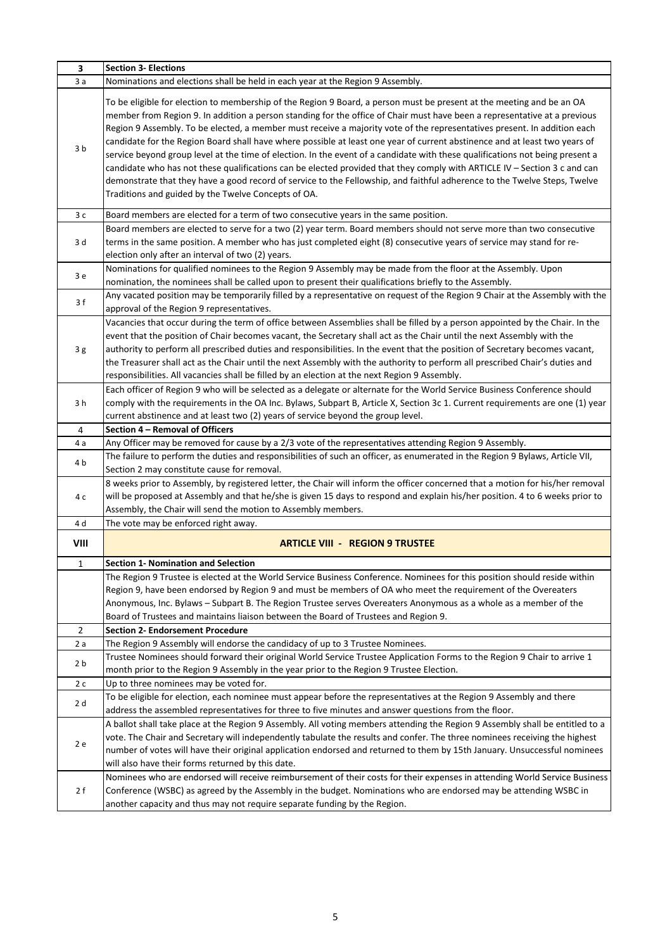| 3           | <b>Section 3- Elections</b>                                                                                                                                                                                                                                                                                                                                                                                                                                                                                                                                                                                                                                                                                                                                                                                                                                                                                                                                    |
|-------------|----------------------------------------------------------------------------------------------------------------------------------------------------------------------------------------------------------------------------------------------------------------------------------------------------------------------------------------------------------------------------------------------------------------------------------------------------------------------------------------------------------------------------------------------------------------------------------------------------------------------------------------------------------------------------------------------------------------------------------------------------------------------------------------------------------------------------------------------------------------------------------------------------------------------------------------------------------------|
| 3a          | Nominations and elections shall be held in each year at the Region 9 Assembly.                                                                                                                                                                                                                                                                                                                                                                                                                                                                                                                                                                                                                                                                                                                                                                                                                                                                                 |
| 3b          | To be eligible for election to membership of the Region 9 Board, a person must be present at the meeting and be an OA<br>member from Region 9. In addition a person standing for the office of Chair must have been a representative at a previous<br>Region 9 Assembly. To be elected, a member must receive a majority vote of the representatives present. In addition each<br>candidate for the Region Board shall have where possible at least one year of current abstinence and at least two years of<br>service beyond group level at the time of election. In the event of a candidate with these qualifications not being present a<br>candidate who has not these qualifications can be elected provided that they comply with ARTICLE IV - Section 3 c and can<br>demonstrate that they have a good record of service to the Fellowship, and faithful adherence to the Twelve Steps, Twelve<br>Traditions and guided by the Twelve Concepts of OA. |
| 3c          | Board members are elected for a term of two consecutive years in the same position.                                                                                                                                                                                                                                                                                                                                                                                                                                                                                                                                                                                                                                                                                                                                                                                                                                                                            |
| 3 d         | Board members are elected to serve for a two (2) year term. Board members should not serve more than two consecutive<br>terms in the same position. A member who has just completed eight (8) consecutive years of service may stand for re-<br>election only after an interval of two (2) years.                                                                                                                                                                                                                                                                                                                                                                                                                                                                                                                                                                                                                                                              |
| 3e          | Nominations for qualified nominees to the Region 9 Assembly may be made from the floor at the Assembly. Upon<br>nomination, the nominees shall be called upon to present their qualifications briefly to the Assembly.                                                                                                                                                                                                                                                                                                                                                                                                                                                                                                                                                                                                                                                                                                                                         |
| 3f          | Any vacated position may be temporarily filled by a representative on request of the Region 9 Chair at the Assembly with the<br>approval of the Region 9 representatives.                                                                                                                                                                                                                                                                                                                                                                                                                                                                                                                                                                                                                                                                                                                                                                                      |
| 3g          | Vacancies that occur during the term of office between Assemblies shall be filled by a person appointed by the Chair. In the<br>event that the position of Chair becomes vacant, the Secretary shall act as the Chair until the next Assembly with the<br>authority to perform all prescribed duties and responsibilities. In the event that the position of Secretary becomes vacant,<br>the Treasurer shall act as the Chair until the next Assembly with the authority to perform all prescribed Chair's duties and<br>responsibilities. All vacancies shall be filled by an election at the next Region 9 Assembly.                                                                                                                                                                                                                                                                                                                                        |
| 3 h         | Each officer of Region 9 who will be selected as a delegate or alternate for the World Service Business Conference should<br>comply with the requirements in the OA Inc. Bylaws, Subpart B, Article X, Section 3c 1. Current requirements are one (1) year<br>current abstinence and at least two (2) years of service beyond the group level.                                                                                                                                                                                                                                                                                                                                                                                                                                                                                                                                                                                                                 |
| 4           | Section 4 - Removal of Officers                                                                                                                                                                                                                                                                                                                                                                                                                                                                                                                                                                                                                                                                                                                                                                                                                                                                                                                                |
| 4 a         | Any Officer may be removed for cause by a 2/3 vote of the representatives attending Region 9 Assembly.                                                                                                                                                                                                                                                                                                                                                                                                                                                                                                                                                                                                                                                                                                                                                                                                                                                         |
| 4 b         | The failure to perform the duties and responsibilities of such an officer, as enumerated in the Region 9 Bylaws, Article VII,<br>Section 2 may constitute cause for removal.                                                                                                                                                                                                                                                                                                                                                                                                                                                                                                                                                                                                                                                                                                                                                                                   |
| 4 c         | 8 weeks prior to Assembly, by registered letter, the Chair will inform the officer concerned that a motion for his/her removal<br>will be proposed at Assembly and that he/she is given 15 days to respond and explain his/her position. 4 to 6 weeks prior to<br>Assembly, the Chair will send the motion to Assembly members.                                                                                                                                                                                                                                                                                                                                                                                                                                                                                                                                                                                                                                |
| 4 d         | The vote may be enforced right away.                                                                                                                                                                                                                                                                                                                                                                                                                                                                                                                                                                                                                                                                                                                                                                                                                                                                                                                           |
| <b>VIII</b> | <b>ARTICLE VIII - REGION 9 TRUSTEE</b>                                                                                                                                                                                                                                                                                                                                                                                                                                                                                                                                                                                                                                                                                                                                                                                                                                                                                                                         |
| 1           | <b>Section 1- Nomination and Selection</b>                                                                                                                                                                                                                                                                                                                                                                                                                                                                                                                                                                                                                                                                                                                                                                                                                                                                                                                     |
|             | The Region 9 Trustee is elected at the World Service Business Conference. Nominees for this position should reside within<br>Region 9, have been endorsed by Region 9 and must be members of OA who meet the requirement of the Overeaters<br>Anonymous, Inc. Bylaws - Subpart B. The Region Trustee serves Overeaters Anonymous as a whole as a member of the<br>Board of Trustees and maintains liaison between the Board of Trustees and Region 9.                                                                                                                                                                                                                                                                                                                                                                                                                                                                                                          |
| 2           | <b>Section 2- Endorsement Procedure</b>                                                                                                                                                                                                                                                                                                                                                                                                                                                                                                                                                                                                                                                                                                                                                                                                                                                                                                                        |
| 2a          | The Region 9 Assembly will endorse the candidacy of up to 3 Trustee Nominees.                                                                                                                                                                                                                                                                                                                                                                                                                                                                                                                                                                                                                                                                                                                                                                                                                                                                                  |
| 2 b         | Trustee Nominees should forward their original World Service Trustee Application Forms to the Region 9 Chair to arrive 1<br>month prior to the Region 9 Assembly in the year prior to the Region 9 Trustee Election.                                                                                                                                                                                                                                                                                                                                                                                                                                                                                                                                                                                                                                                                                                                                           |
| 2c          | Up to three nominees may be voted for.                                                                                                                                                                                                                                                                                                                                                                                                                                                                                                                                                                                                                                                                                                                                                                                                                                                                                                                         |
| 2 d         | To be eligible for election, each nominee must appear before the representatives at the Region 9 Assembly and there<br>address the assembled representatives for three to five minutes and answer questions from the floor.                                                                                                                                                                                                                                                                                                                                                                                                                                                                                                                                                                                                                                                                                                                                    |
| 2 e         | A ballot shall take place at the Region 9 Assembly. All voting members attending the Region 9 Assembly shall be entitled to a<br>vote. The Chair and Secretary will independently tabulate the results and confer. The three nominees receiving the highest<br>number of votes will have their original application endorsed and returned to them by 15th January. Unsuccessful nominees<br>will also have their forms returned by this date.                                                                                                                                                                                                                                                                                                                                                                                                                                                                                                                  |
| 2 f         | Nominees who are endorsed will receive reimbursement of their costs for their expenses in attending World Service Business<br>Conference (WSBC) as agreed by the Assembly in the budget. Nominations who are endorsed may be attending WSBC in<br>another capacity and thus may not require separate funding by the Region.                                                                                                                                                                                                                                                                                                                                                                                                                                                                                                                                                                                                                                    |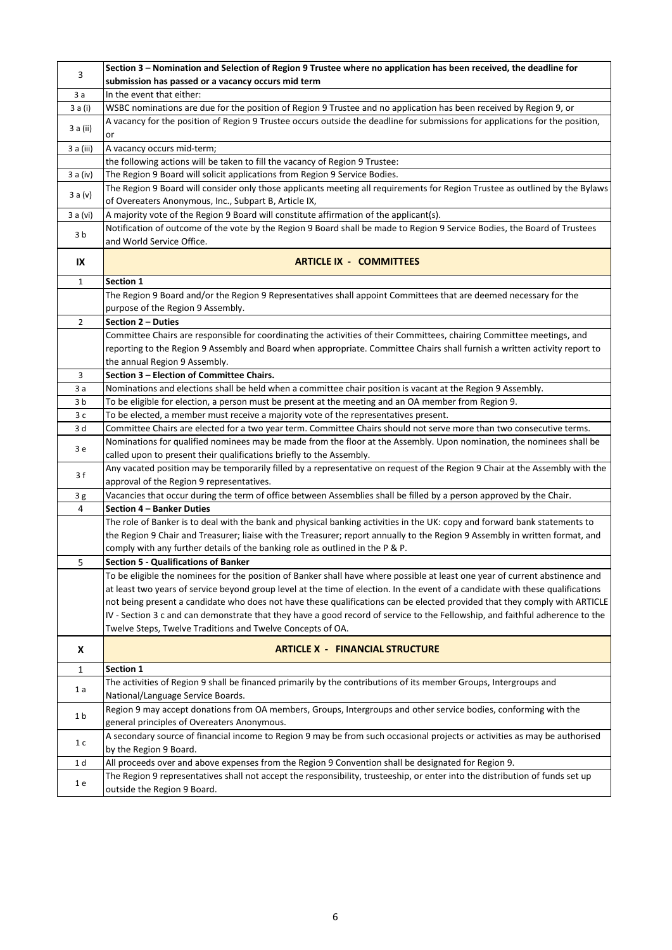| 3              | Section 3 – Nomination and Selection of Region 9 Trustee where no application has been received, the deadline for                                                                     |
|----------------|---------------------------------------------------------------------------------------------------------------------------------------------------------------------------------------|
|                | submission has passed or a vacancy occurs mid term                                                                                                                                    |
| 3 a            | In the event that either:                                                                                                                                                             |
| 3 a (i)        | WSBC nominations are due for the position of Region 9 Trustee and no application has been received by Region 9, or                                                                    |
| 3 a (ii)       | A vacancy for the position of Region 9 Trustee occurs outside the deadline for submissions for applications for the position,<br>or                                                   |
| 3 a (iii)      | A vacancy occurs mid-term;                                                                                                                                                            |
|                | the following actions will be taken to fill the vacancy of Region 9 Trustee:                                                                                                          |
| 3 a (iv)       | The Region 9 Board will solicit applications from Region 9 Service Bodies.                                                                                                            |
| 3a(v)          | The Region 9 Board will consider only those applicants meeting all requirements for Region Trustee as outlined by the Bylaws<br>of Overeaters Anonymous, Inc., Subpart B, Article IX, |
| 3 a (vi)       | A majority vote of the Region 9 Board will constitute affirmation of the applicant(s).                                                                                                |
|                | Notification of outcome of the vote by the Region 9 Board shall be made to Region 9 Service Bodies, the Board of Trustees                                                             |
| 3b             | and World Service Office.                                                                                                                                                             |
| IX             | <b>ARTICLE IX - COMMITTEES</b>                                                                                                                                                        |
| $\mathbf{1}$   | Section 1                                                                                                                                                                             |
|                | The Region 9 Board and/or the Region 9 Representatives shall appoint Committees that are deemed necessary for the<br>purpose of the Region 9 Assembly.                                |
| $\overline{2}$ | Section 2 - Duties                                                                                                                                                                    |
|                | Committee Chairs are responsible for coordinating the activities of their Committees, chairing Committee meetings, and                                                                |
|                | reporting to the Region 9 Assembly and Board when appropriate. Committee Chairs shall furnish a written activity report to                                                            |
|                | the annual Region 9 Assembly.                                                                                                                                                         |
| 3              | Section 3 - Election of Committee Chairs.                                                                                                                                             |
| 3a             | Nominations and elections shall be held when a committee chair position is vacant at the Region 9 Assembly.                                                                           |
| 3 b            | To be eligible for election, a person must be present at the meeting and an OA member from Region 9.                                                                                  |
| 3 c            | To be elected, a member must receive a majority vote of the representatives present.                                                                                                  |
| 3 d            | Committee Chairs are elected for a two year term. Committee Chairs should not serve more than two consecutive terms.                                                                  |
| 3 e            | Nominations for qualified nominees may be made from the floor at the Assembly. Upon nomination, the nominees shall be                                                                 |
|                | called upon to present their qualifications briefly to the Assembly.                                                                                                                  |
| 3f             | Any vacated position may be temporarily filled by a representative on request of the Region 9 Chair at the Assembly with the                                                          |
|                | approval of the Region 9 representatives.                                                                                                                                             |
| 3g             | Vacancies that occur during the term of office between Assemblies shall be filled by a person approved by the Chair.                                                                  |
| 4              | Section 4 - Banker Duties                                                                                                                                                             |
|                | The role of Banker is to deal with the bank and physical banking activities in the UK: copy and forward bank statements to                                                            |
|                | the Region 9 Chair and Treasurer; liaise with the Treasurer; report annually to the Region 9 Assembly in written format, and                                                          |
|                | comply with any further details of the banking role as outlined in the P & P.                                                                                                         |
| 5              | <b>Section 5 - Qualifications of Banker</b>                                                                                                                                           |
|                | To be eligible the nominees for the position of Banker shall have where possible at least one year of current abstinence and                                                          |
|                | at least two years of service beyond group level at the time of election. In the event of a candidate with these qualifications                                                       |
|                | not being present a candidate who does not have these qualifications can be elected provided that they comply with ARTICLE                                                            |
|                | IV - Section 3 c and can demonstrate that they have a good record of service to the Fellowship, and faithful adherence to the                                                         |
|                | Twelve Steps, Twelve Traditions and Twelve Concepts of OA.                                                                                                                            |
| X              | <b>ARTICLE X - FINANCIAL STRUCTURE</b>                                                                                                                                                |
| 1              | <b>Section 1</b>                                                                                                                                                                      |
| 1 a            | The activities of Region 9 shall be financed primarily by the contributions of its member Groups, Intergroups and                                                                     |
|                | National/Language Service Boards.                                                                                                                                                     |
| 1 b            | Region 9 may accept donations from OA members, Groups, Intergroups and other service bodies, conforming with the                                                                      |
|                | general principles of Overeaters Anonymous.                                                                                                                                           |
| 1 c            | A secondary source of financial income to Region 9 may be from such occasional projects or activities as may be authorised                                                            |
|                | by the Region 9 Board.                                                                                                                                                                |
| 1 d            | All proceeds over and above expenses from the Region 9 Convention shall be designated for Region 9.                                                                                   |
| 1 e            | The Region 9 representatives shall not accept the responsibility, trusteeship, or enter into the distribution of funds set up                                                         |
|                | outside the Region 9 Board.                                                                                                                                                           |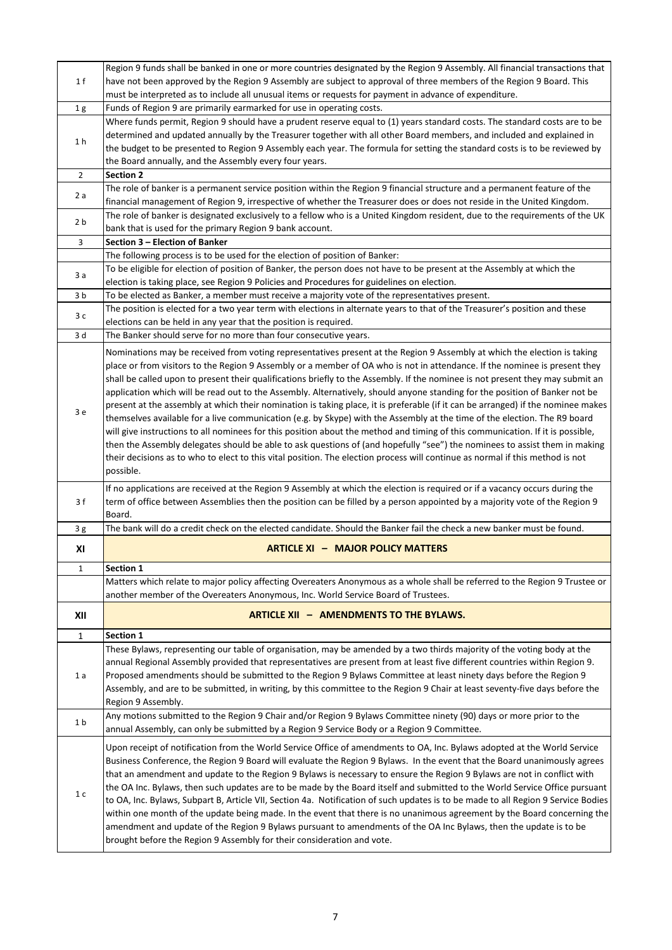| 1 f            | Region 9 funds shall be banked in one or more countries designated by the Region 9 Assembly. All financial transactions that<br>have not been approved by the Region 9 Assembly are subject to approval of three members of the Region 9 Board. This<br>must be interpreted as to include all unusual items or requests for payment in advance of expenditure.                                                                                                                                                                                                                                                                                                                                                                                                                                                                                                                                                                                                                  |
|----------------|---------------------------------------------------------------------------------------------------------------------------------------------------------------------------------------------------------------------------------------------------------------------------------------------------------------------------------------------------------------------------------------------------------------------------------------------------------------------------------------------------------------------------------------------------------------------------------------------------------------------------------------------------------------------------------------------------------------------------------------------------------------------------------------------------------------------------------------------------------------------------------------------------------------------------------------------------------------------------------|
| 1 <sub>g</sub> | Funds of Region 9 are primarily earmarked for use in operating costs.                                                                                                                                                                                                                                                                                                                                                                                                                                                                                                                                                                                                                                                                                                                                                                                                                                                                                                           |
|                | Where funds permit, Region 9 should have a prudent reserve equal to (1) years standard costs. The standard costs are to be<br>determined and updated annually by the Treasurer together with all other Board members, and included and explained in                                                                                                                                                                                                                                                                                                                                                                                                                                                                                                                                                                                                                                                                                                                             |
| 1 h            | the budget to be presented to Region 9 Assembly each year. The formula for setting the standard costs is to be reviewed by<br>the Board annually, and the Assembly every four years.                                                                                                                                                                                                                                                                                                                                                                                                                                                                                                                                                                                                                                                                                                                                                                                            |
| $\overline{2}$ | <b>Section 2</b>                                                                                                                                                                                                                                                                                                                                                                                                                                                                                                                                                                                                                                                                                                                                                                                                                                                                                                                                                                |
|                | The role of banker is a permanent service position within the Region 9 financial structure and a permanent feature of the                                                                                                                                                                                                                                                                                                                                                                                                                                                                                                                                                                                                                                                                                                                                                                                                                                                       |
| 2a             | financial management of Region 9, irrespective of whether the Treasurer does or does not reside in the United Kingdom.                                                                                                                                                                                                                                                                                                                                                                                                                                                                                                                                                                                                                                                                                                                                                                                                                                                          |
| 2 <sub>b</sub> | The role of banker is designated exclusively to a fellow who is a United Kingdom resident, due to the requirements of the UK                                                                                                                                                                                                                                                                                                                                                                                                                                                                                                                                                                                                                                                                                                                                                                                                                                                    |
|                | bank that is used for the primary Region 9 bank account.<br>Section 3 - Election of Banker                                                                                                                                                                                                                                                                                                                                                                                                                                                                                                                                                                                                                                                                                                                                                                                                                                                                                      |
| 3              | The following process is to be used for the election of position of Banker:                                                                                                                                                                                                                                                                                                                                                                                                                                                                                                                                                                                                                                                                                                                                                                                                                                                                                                     |
| 3a             | To be eligible for election of position of Banker, the person does not have to be present at the Assembly at which the                                                                                                                                                                                                                                                                                                                                                                                                                                                                                                                                                                                                                                                                                                                                                                                                                                                          |
|                | election is taking place, see Region 9 Policies and Procedures for guidelines on election.                                                                                                                                                                                                                                                                                                                                                                                                                                                                                                                                                                                                                                                                                                                                                                                                                                                                                      |
| 3 b            | To be elected as Banker, a member must receive a majority vote of the representatives present.                                                                                                                                                                                                                                                                                                                                                                                                                                                                                                                                                                                                                                                                                                                                                                                                                                                                                  |
| 3 c            | The position is elected for a two year term with elections in alternate years to that of the Treasurer's position and these                                                                                                                                                                                                                                                                                                                                                                                                                                                                                                                                                                                                                                                                                                                                                                                                                                                     |
|                | elections can be held in any year that the position is required.                                                                                                                                                                                                                                                                                                                                                                                                                                                                                                                                                                                                                                                                                                                                                                                                                                                                                                                |
| 3 d            | The Banker should serve for no more than four consecutive years.                                                                                                                                                                                                                                                                                                                                                                                                                                                                                                                                                                                                                                                                                                                                                                                                                                                                                                                |
|                | Nominations may be received from voting representatives present at the Region 9 Assembly at which the election is taking<br>place or from visitors to the Region 9 Assembly or a member of OA who is not in attendance. If the nominee is present they<br>shall be called upon to present their qualifications briefly to the Assembly. If the nominee is not present they may submit an                                                                                                                                                                                                                                                                                                                                                                                                                                                                                                                                                                                        |
| 3e             | application which will be read out to the Assembly. Alternatively, should anyone standing for the position of Banker not be<br>present at the assembly at which their nomination is taking place, it is preferable (if it can be arranged) if the nominee makes<br>themselves available for a live communication (e.g. by Skype) with the Assembly at the time of the election. The R9 board<br>will give instructions to all nominees for this position about the method and timing of this communication. If it is possible,<br>then the Assembly delegates should be able to ask questions of (and hopefully "see") the nominees to assist them in making<br>their decisions as to who to elect to this vital position. The election process will continue as normal if this method is not<br>possible.                                                                                                                                                                      |
| 3f             | If no applications are received at the Region 9 Assembly at which the election is required or if a vacancy occurs during the<br>term of office between Assemblies then the position can be filled by a person appointed by a majority vote of the Region 9<br>Board.                                                                                                                                                                                                                                                                                                                                                                                                                                                                                                                                                                                                                                                                                                            |
| 3g             | The bank will do a credit check on the elected candidate. Should the Banker fail the check a new banker must be found.                                                                                                                                                                                                                                                                                                                                                                                                                                                                                                                                                                                                                                                                                                                                                                                                                                                          |
| XI             | <b>ARTICLE XI - MAJOR POLICY MATTERS</b>                                                                                                                                                                                                                                                                                                                                                                                                                                                                                                                                                                                                                                                                                                                                                                                                                                                                                                                                        |
| $\mathbf{1}$   | Section 1                                                                                                                                                                                                                                                                                                                                                                                                                                                                                                                                                                                                                                                                                                                                                                                                                                                                                                                                                                       |
|                | Matters which relate to major policy affecting Overeaters Anonymous as a whole shall be referred to the Region 9 Trustee or<br>another member of the Overeaters Anonymous, Inc. World Service Board of Trustees.                                                                                                                                                                                                                                                                                                                                                                                                                                                                                                                                                                                                                                                                                                                                                                |
| XII            | <b>ARTICLE XII - AMENDMENTS TO THE BYLAWS.</b>                                                                                                                                                                                                                                                                                                                                                                                                                                                                                                                                                                                                                                                                                                                                                                                                                                                                                                                                  |
| $\mathbf{1}$   | Section 1                                                                                                                                                                                                                                                                                                                                                                                                                                                                                                                                                                                                                                                                                                                                                                                                                                                                                                                                                                       |
|                |                                                                                                                                                                                                                                                                                                                                                                                                                                                                                                                                                                                                                                                                                                                                                                                                                                                                                                                                                                                 |
| 1a             | These Bylaws, representing our table of organisation, may be amended by a two thirds majority of the voting body at the<br>annual Regional Assembly provided that representatives are present from at least five different countries within Region 9.<br>Proposed amendments should be submitted to the Region 9 Bylaws Committee at least ninety days before the Region 9<br>Assembly, and are to be submitted, in writing, by this committee to the Region 9 Chair at least seventy-five days before the<br>Region 9 Assembly.                                                                                                                                                                                                                                                                                                                                                                                                                                                |
| 1 b            | Any motions submitted to the Region 9 Chair and/or Region 9 Bylaws Committee ninety (90) days or more prior to the<br>annual Assembly, can only be submitted by a Region 9 Service Body or a Region 9 Committee.                                                                                                                                                                                                                                                                                                                                                                                                                                                                                                                                                                                                                                                                                                                                                                |
| 1 <sub>c</sub> | Upon receipt of notification from the World Service Office of amendments to OA, Inc. Bylaws adopted at the World Service<br>Business Conference, the Region 9 Board will evaluate the Region 9 Bylaws. In the event that the Board unanimously agrees<br>that an amendment and update to the Region 9 Bylaws is necessary to ensure the Region 9 Bylaws are not in conflict with<br>the OA Inc. Bylaws, then such updates are to be made by the Board itself and submitted to the World Service Office pursuant<br>to OA, Inc. Bylaws, Subpart B, Article VII, Section 4a. Notification of such updates is to be made to all Region 9 Service Bodies<br>within one month of the update being made. In the event that there is no unanimous agreement by the Board concerning the<br>amendment and update of the Region 9 Bylaws pursuant to amendments of the OA Inc Bylaws, then the update is to be<br>brought before the Region 9 Assembly for their consideration and vote. |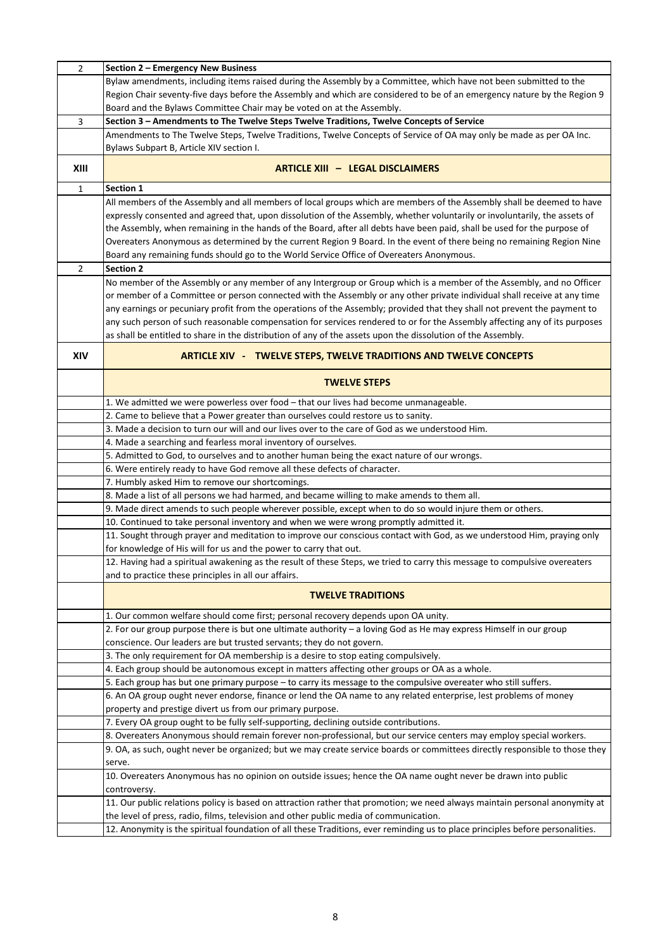| $\overline{2}$ | Section 2 - Emergency New Business                                                                                             |
|----------------|--------------------------------------------------------------------------------------------------------------------------------|
|                | Bylaw amendments, including items raised during the Assembly by a Committee, which have not been submitted to the              |
|                | Region Chair seventy-five days before the Assembly and which are considered to be of an emergency nature by the Region 9       |
|                | Board and the Bylaws Committee Chair may be voted on at the Assembly.                                                          |
| 3              | Section 3 - Amendments to The Twelve Steps Twelve Traditions, Twelve Concepts of Service                                       |
|                | Amendments to The Twelve Steps, Twelve Traditions, Twelve Concepts of Service of OA may only be made as per OA Inc.            |
|                | Bylaws Subpart B, Article XIV section I.                                                                                       |
| XIII           | <b>ARTICLE XIII - LEGAL DISCLAIMERS</b>                                                                                        |
| $\mathbf{1}$   | Section 1                                                                                                                      |
|                | All members of the Assembly and all members of local groups which are members of the Assembly shall be deemed to have          |
|                | expressly consented and agreed that, upon dissolution of the Assembly, whether voluntarily or involuntarily, the assets of     |
|                | the Assembly, when remaining in the hands of the Board, after all debts have been paid, shall be used for the purpose of       |
|                | Overeaters Anonymous as determined by the current Region 9 Board. In the event of there being no remaining Region Nine         |
|                | Board any remaining funds should go to the World Service Office of Overeaters Anonymous.                                       |
| $\overline{2}$ | <b>Section 2</b>                                                                                                               |
|                | No member of the Assembly or any member of any Intergroup or Group which is a member of the Assembly, and no Officer           |
|                | or member of a Committee or person connected with the Assembly or any other private individual shall receive at any time       |
|                | any earnings or pecuniary profit from the operations of the Assembly; provided that they shall not prevent the payment to      |
|                | any such person of such reasonable compensation for services rendered to or for the Assembly affecting any of its purposes     |
|                | as shall be entitled to share in the distribution of any of the assets upon the dissolution of the Assembly.                   |
| <b>XIV</b>     | <b>ARTICLE XIV - TWELVE STEPS, TWELVE TRADITIONS AND TWELVE CONCEPTS</b>                                                       |
|                | <b>TWELVE STEPS</b>                                                                                                            |
|                | 1. We admitted we were powerless over food - that our lives had become unmanageable.                                           |
|                | 2. Came to believe that a Power greater than ourselves could restore us to sanity.                                             |
|                | 3. Made a decision to turn our will and our lives over to the care of God as we understood Him.                                |
|                | 4. Made a searching and fearless moral inventory of ourselves.                                                                 |
|                | 5. Admitted to God, to ourselves and to another human being the exact nature of our wrongs.                                    |
|                | 6. Were entirely ready to have God remove all these defects of character.                                                      |
|                | 7. Humbly asked Him to remove our shortcomings.                                                                                |
|                | 8. Made a list of all persons we had harmed, and became willing to make amends to them all.                                    |
|                | 9. Made direct amends to such people wherever possible, except when to do so would injure them or others.                      |
|                | 10. Continued to take personal inventory and when we were wrong promptly admitted it.                                          |
|                | 11. Sought through prayer and meditation to improve our conscious contact with God, as we understood Him, praying only         |
|                | for knowledge of His will for us and the power to carry that out.                                                              |
|                | 12. Having had a spiritual awakening as the result of these Steps, we tried to carry this message to compulsive overeaters     |
|                | and to practice these principles in all our affairs.                                                                           |
|                | <b>TWELVE TRADITIONS</b>                                                                                                       |
|                | 1. Our common welfare should come first; personal recovery depends upon OA unity.                                              |
|                | 2. For our group purpose there is but one ultimate authority - a loving God as He may express Himself in our group             |
|                | conscience. Our leaders are but trusted servants; they do not govern.                                                          |
|                | 3. The only requirement for OA membership is a desire to stop eating compulsively.                                             |
|                | 4. Each group should be autonomous except in matters affecting other groups or OA as a whole.                                  |
|                | 5. Each group has but one primary purpose - to carry its message to the compulsive overeater who still suffers.                |
|                | 6. An OA group ought never endorse, finance or lend the OA name to any related enterprise, lest problems of money              |
|                | property and prestige divert us from our primary purpose.                                                                      |
|                | 7. Every OA group ought to be fully self-supporting, declining outside contributions.                                          |
|                | 8. Overeaters Anonymous should remain forever non-professional, but our service centers may employ special workers.            |
|                | 9. OA, as such, ought never be organized; but we may create service boards or committees directly responsible to those they    |
|                | serve.                                                                                                                         |
|                | 10. Overeaters Anonymous has no opinion on outside issues; hence the OA name ought never be drawn into public                  |
|                | controversy.                                                                                                                   |
|                | 11. Our public relations policy is based on attraction rather that promotion; we need always maintain personal anonymity at    |
|                | the level of press, radio, films, television and other public media of communication.                                          |
|                | 12. Anonymity is the spiritual foundation of all these Traditions, ever reminding us to place principles before personalities. |